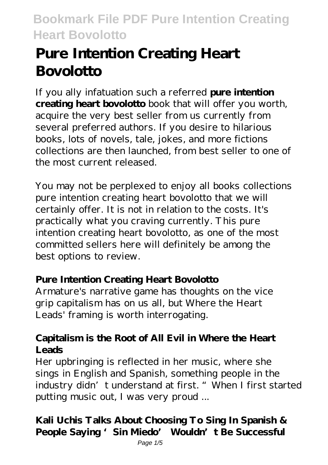# **Pure Intention Creating Heart Bovolotto**

If you ally infatuation such a referred **pure intention creating heart bovolotto** book that will offer you worth, acquire the very best seller from us currently from several preferred authors. If you desire to hilarious books, lots of novels, tale, jokes, and more fictions collections are then launched, from best seller to one of the most current released.

You may not be perplexed to enjoy all books collections pure intention creating heart bovolotto that we will certainly offer. It is not in relation to the costs. It's practically what you craving currently. This pure intention creating heart bovolotto, as one of the most committed sellers here will definitely be among the best options to review.

#### **Pure Intention Creating Heart Bovolotto**

Armature's narrative game has thoughts on the vice grip capitalism has on us all, but Where the Heart Leads' framing is worth interrogating.

## **Capitalism is the Root of All Evil in Where the Heart Leads**

Her upbringing is reflected in her music, where she sings in English and Spanish, something people in the industry didn't understand at first. "When I first started putting music out, I was very proud ...

## **Kali Uchis Talks About Choosing To Sing In Spanish &** People Saying 'Sin Miedo' Wouldn't Be Successful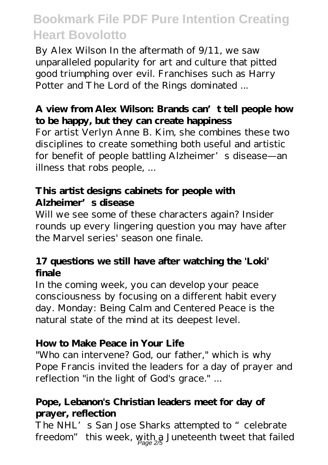By Alex Wilson In the aftermath of 9/11, we saw unparalleled popularity for art and culture that pitted good triumphing over evil. Franchises such as Harry Potter and The Lord of the Rings dominated ...

### **A view from Alex Wilson: Brands can't tell people how to be happy, but they can create happiness**

For artist Verlyn Anne B. Kim, she combines these two disciplines to create something both useful and artistic for benefit of people battling Alzheimer's disease—an illness that robs people, ...

#### **This artist designs cabinets for people with Alzheimer's disease**

Will we see some of these characters again? Insider rounds up every lingering question you may have after the Marvel series' season one finale.

#### **17 questions we still have after watching the 'Loki' finale**

In the coming week, you can develop your peace consciousness by focusing on a different habit every day. Monday: Being Calm and Centered Peace is the natural state of the mind at its deepest level.

#### **How to Make Peace in Your Life**

"Who can intervene? God, our father," which is why Pope Francis invited the leaders for a day of prayer and reflection "in the light of God's grace." ...

## **Pope, Lebanon's Christian leaders meet for day of prayer, reflection**

The NHL's San Jose Sharks attempted to "celebrate" freedom" this week, with a Juneteenth tweet that failed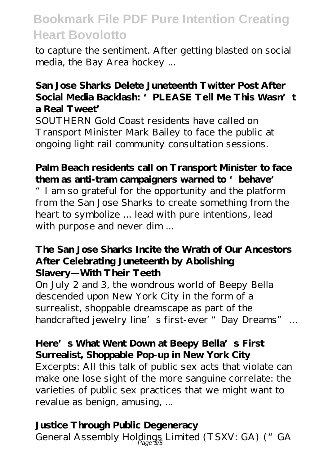to capture the sentiment. After getting blasted on social media, the Bay Area hockey ...

### **San Jose Sharks Delete Juneteenth Twitter Post After Social Media Backlash: 'PLEASE Tell Me This Wasn't a Real Tweet'**

SOUTHERN Gold Coast residents have called on Transport Minister Mark Bailey to face the public at ongoing light rail community consultation sessions.

#### **Palm Beach residents call on Transport Minister to face them as anti-tram campaigners warned to 'behave'**

"I am so grateful for the opportunity and the platform from the San Jose Sharks to create something from the heart to symbolize ... lead with pure intentions, lead with purpose and never dim ...

#### **The San Jose Sharks Incite the Wrath of Our Ancestors After Celebrating Juneteenth by Abolishing Slavery—With Their Teeth**

On July 2 and 3, the wondrous world of Beepy Bella descended upon New York City in the form of a surrealist, shoppable dreamscape as part of the handcrafted jewelry line's first-ever "Day Dreams" ...

#### **Here's What Went Down at Beepy Bella's First Surrealist, Shoppable Pop-up in New York City**

Excerpts: All this talk of public sex acts that violate can make one lose sight of the more sanguine correlate: the varieties of public sex practices that we might want to revalue as benign, amusing, ...

#### **Justice Through Public Degeneracy**

General Assembly Holdings Limited (TSXV: GA) (" GA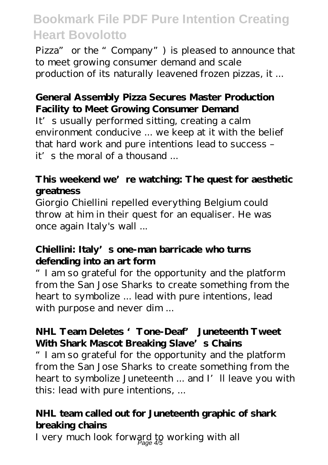Pizza" or the "Company") is pleased to announce that to meet growing consumer demand and scale production of its naturally leavened frozen pizzas, it ...

# **General Assembly Pizza Secures Master Production Facility to Meet Growing Consumer Demand**

It's usually performed sitting, creating a calm environment conducive ... we keep at it with the belief that hard work and pure intentions lead to success – it's the moral of a thousand

# **This weekend we're watching: The quest for aesthetic greatness**

Giorgio Chiellini repelled everything Belgium could throw at him in their quest for an equaliser. He was once again Italy's wall ...

#### **Chiellini: Italy's one-man barricade who turns defending into an art form**

"I am so grateful for the opportunity and the platform from the San Jose Sharks to create something from the heart to symbolize ... lead with pure intentions, lead with purpose and never dim ...

## **NHL Team Deletes 'Tone-Deaf' Juneteenth Tweet** With Shark Mascot Breaking Slave's Chains

"I am so grateful for the opportunity and the platform from the San Jose Sharks to create something from the heart to symbolize Juneteenth ... and I'll leave you with this: lead with pure intentions, ...

# **NHL team called out for Juneteenth graphic of shark breaking chains**

I very much look forward to working with all